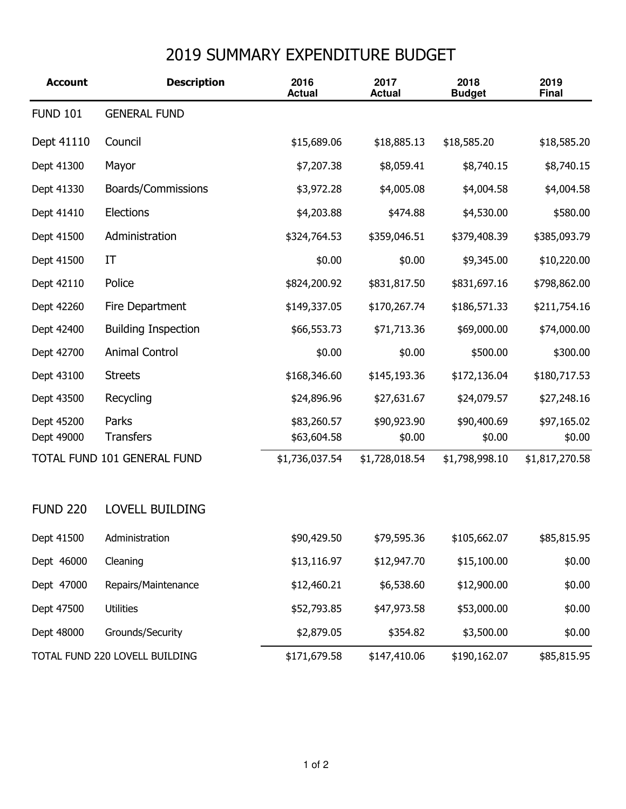## 2019 SUMMARY EXPENDITURE BUDGET

| <b>Account</b>                 | <b>Description</b>         | 2016<br><b>Actual</b>      | 2017<br><b>Actual</b> | 2018<br><b>Budget</b> | 2019<br><b>Final</b>  |
|--------------------------------|----------------------------|----------------------------|-----------------------|-----------------------|-----------------------|
| <b>FUND 101</b>                | <b>GENERAL FUND</b>        |                            |                       |                       |                       |
| Dept 41110                     | Council                    | \$15,689.06                | \$18,885.13           | \$18,585.20           | \$18,585.20           |
| Dept 41300                     | Mayor                      | \$7,207.38                 | \$8,059.41            | \$8,740.15            | \$8,740.15            |
| Dept 41330                     | Boards/Commissions         | \$3,972.28                 | \$4,005.08            | \$4,004.58            | \$4,004.58            |
| Dept 41410                     | Elections                  | \$4,203.88                 | \$474.88              | \$4,530.00            | \$580.00              |
| Dept 41500                     | Administration             | \$324,764.53               | \$359,046.51          | \$379,408.39          | \$385,093.79          |
| Dept 41500                     | IT                         | \$0.00                     | \$0.00                | \$9,345.00            | \$10,220.00           |
| Dept 42110                     | Police                     | \$824,200.92               | \$831,817.50          | \$831,697.16          | \$798,862.00          |
| Dept 42260                     | Fire Department            | \$149,337.05               | \$170,267.74          | \$186,571.33          | \$211,754.16          |
| Dept 42400                     | <b>Building Inspection</b> | \$66,553.73                | \$71,713.36           | \$69,000.00           | \$74,000.00           |
| Dept 42700                     | <b>Animal Control</b>      | \$0.00                     | \$0.00                | \$500.00              | \$300.00              |
| Dept 43100                     | <b>Streets</b>             | \$168,346.60               | \$145,193.36          | \$172,136.04          | \$180,717.53          |
| Dept 43500                     | Recycling                  | \$24,896.96                | \$27,631.67           | \$24,079.57           | \$27,248.16           |
| Dept 45200<br>Dept 49000       | Parks<br><b>Transfers</b>  | \$83,260.57<br>\$63,604.58 | \$90,923.90<br>\$0.00 | \$90,400.69<br>\$0.00 | \$97,165.02<br>\$0.00 |
| TOTAL FUND 101 GENERAL FUND    |                            | \$1,736,037.54             | \$1,728,018.54        | \$1,798,998.10        | \$1,817,270.58        |
| <b>FUND 220</b>                | <b>LOVELL BUILDING</b>     |                            |                       |                       |                       |
| Dept 41500                     | Administration             | \$90,429.50                | \$79,595.36           | \$105,662.07          | \$85,815.95           |
| Dept 46000                     | Cleaning                   | \$13,116.97                | \$12,947.70           | \$15,100.00           | \$0.00                |
| Dept 47000                     | Repairs/Maintenance        | \$12,460.21                | \$6,538.60            | \$12,900.00           | \$0.00                |
| Dept 47500                     | <b>Utilities</b>           | \$52,793.85                | \$47,973.58           | \$53,000.00           | \$0.00                |
| Dept 48000                     | Grounds/Security           | \$2,879.05                 | \$354.82              | \$3,500.00            | \$0.00                |
| TOTAL FUND 220 LOVELL BUILDING |                            | \$171,679.58               | \$147,410.06          | \$190,162.07          | \$85,815.95           |